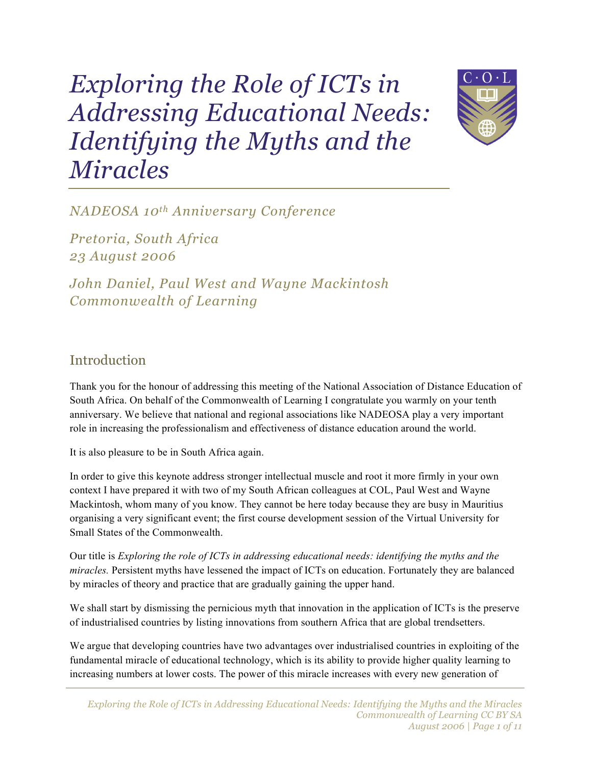# *Exploring the Role of ICTs in Addressing Educational Needs: Identifying the Myths and the Miracles*



*NADEOSA 10th Anniversary Conference*

*Pretoria, South Africa 23 August 2006*

*John Daniel, Paul West and Wayne Mackintosh Commonwealth of Learning*

#### Introduction

Thank you for the honour of addressing this meeting of the National Association of Distance Education of South Africa. On behalf of the Commonwealth of Learning I congratulate you warmly on your tenth anniversary. We believe that national and regional associations like NADEOSA play a very important role in increasing the professionalism and effectiveness of distance education around the world.

It is also pleasure to be in South Africa again.

In order to give this keynote address stronger intellectual muscle and root it more firmly in your own context I have prepared it with two of my South African colleagues at COL, Paul West and Wayne Mackintosh, whom many of you know. They cannot be here today because they are busy in Mauritius organising a very significant event; the first course development session of the Virtual University for Small States of the Commonwealth.

Our title is *Exploring the role of ICTs in addressing educational needs: identifying the myths and the miracles.* Persistent myths have lessened the impact of ICTs on education. Fortunately they are balanced by miracles of theory and practice that are gradually gaining the upper hand.

We shall start by dismissing the pernicious myth that innovation in the application of ICTs is the preserve of industrialised countries by listing innovations from southern Africa that are global trendsetters.

We argue that developing countries have two advantages over industrialised countries in exploiting of the fundamental miracle of educational technology, which is its ability to provide higher quality learning to increasing numbers at lower costs. The power of this miracle increases with every new generation of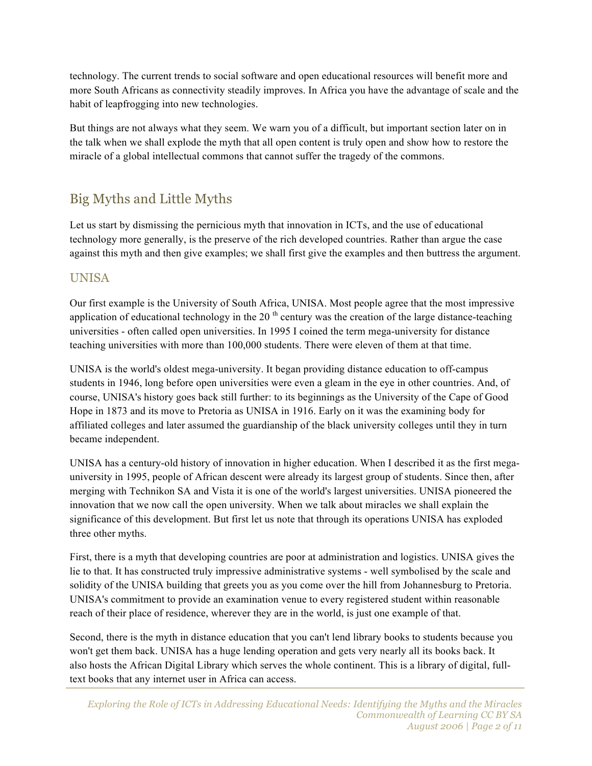technology. The current trends to social software and open educational resources will benefit more and more South Africans as connectivity steadily improves. In Africa you have the advantage of scale and the habit of leapfrogging into new technologies.

But things are not always what they seem. We warn you of a difficult, but important section later on in the talk when we shall explode the myth that all open content is truly open and show how to restore the miracle of a global intellectual commons that cannot suffer the tragedy of the commons.

# Big Myths and Little Myths

Let us start by dismissing the pernicious myth that innovation in ICTs, and the use of educational technology more generally, is the preserve of the rich developed countries. Rather than argue the case against this myth and then give examples; we shall first give the examples and then buttress the argument.

#### UNISA

Our first example is the University of South Africa, UNISA. Most people agree that the most impressive application of educational technology in the 20<sup>th</sup> century was the creation of the large distance-teaching universities - often called open universities. In 1995 I coined the term mega-university for distance teaching universities with more than 100,000 students. There were eleven of them at that time.

UNISA is the world's oldest mega-university. It began providing distance education to off-campus students in 1946, long before open universities were even a gleam in the eye in other countries. And, of course, UNISA's history goes back still further: to its beginnings as the University of the Cape of Good Hope in 1873 and its move to Pretoria as UNISA in 1916. Early on it was the examining body for affiliated colleges and later assumed the guardianship of the black university colleges until they in turn became independent.

UNISA has a century-old history of innovation in higher education. When I described it as the first megauniversity in 1995, people of African descent were already its largest group of students. Since then, after merging with Technikon SA and Vista it is one of the world's largest universities. UNISA pioneered the innovation that we now call the open university. When we talk about miracles we shall explain the significance of this development. But first let us note that through its operations UNISA has exploded three other myths.

First, there is a myth that developing countries are poor at administration and logistics. UNISA gives the lie to that. It has constructed truly impressive administrative systems - well symbolised by the scale and solidity of the UNISA building that greets you as you come over the hill from Johannesburg to Pretoria. UNISA's commitment to provide an examination venue to every registered student within reasonable reach of their place of residence, wherever they are in the world, is just one example of that.

Second, there is the myth in distance education that you can't lend library books to students because you won't get them back. UNISA has a huge lending operation and gets very nearly all its books back. It also hosts the African Digital Library which serves the whole continent. This is a library of digital, fulltext books that any internet user in Africa can access.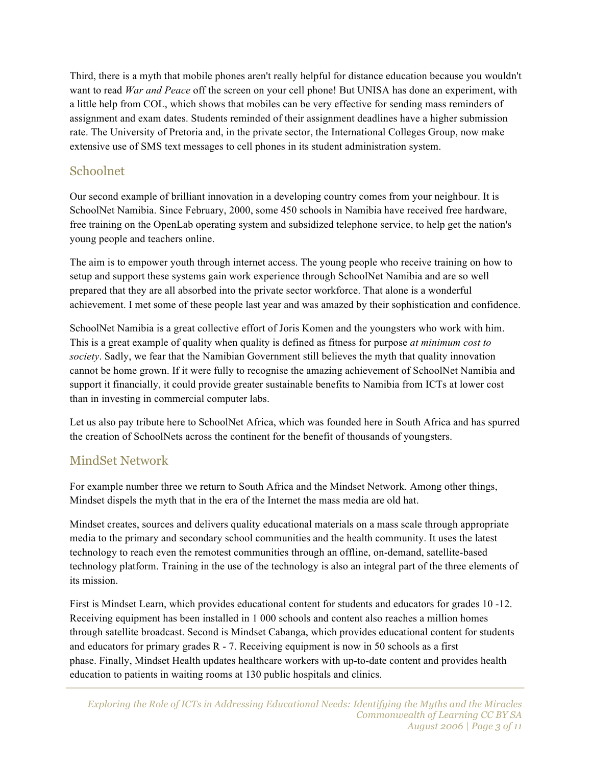Third, there is a myth that mobile phones aren't really helpful for distance education because you wouldn't want to read *War and Peace* off the screen on your cell phone! But UNISA has done an experiment, with a little help from COL, which shows that mobiles can be very effective for sending mass reminders of assignment and exam dates. Students reminded of their assignment deadlines have a higher submission rate. The University of Pretoria and, in the private sector, the International Colleges Group, now make extensive use of SMS text messages to cell phones in its student administration system.

#### Schoolnet

Our second example of brilliant innovation in a developing country comes from your neighbour. It is SchoolNet Namibia. Since February, 2000, some 450 schools in Namibia have received free hardware, free training on the OpenLab operating system and subsidized telephone service, to help get the nation's young people and teachers online.

The aim is to empower youth through internet access. The young people who receive training on how to setup and support these systems gain work experience through SchoolNet Namibia and are so well prepared that they are all absorbed into the private sector workforce. That alone is a wonderful achievement. I met some of these people last year and was amazed by their sophistication and confidence.

SchoolNet Namibia is a great collective effort of Joris Komen and the youngsters who work with him. This is a great example of quality when quality is defined as fitness for purpose *at minimum cost to society*. Sadly, we fear that the Namibian Government still believes the myth that quality innovation cannot be home grown. If it were fully to recognise the amazing achievement of SchoolNet Namibia and support it financially, it could provide greater sustainable benefits to Namibia from ICTs at lower cost than in investing in commercial computer labs.

Let us also pay tribute here to SchoolNet Africa, which was founded here in South Africa and has spurred the creation of SchoolNets across the continent for the benefit of thousands of youngsters.

#### MindSet Network

For example number three we return to South Africa and the Mindset Network. Among other things, Mindset dispels the myth that in the era of the Internet the mass media are old hat.

Mindset creates, sources and delivers quality educational materials on a mass scale through appropriate media to the primary and secondary school communities and the health community. It uses the latest technology to reach even the remotest communities through an offline, on-demand, satellite-based technology platform. Training in the use of the technology is also an integral part of the three elements of its mission.

First is Mindset Learn, which provides educational content for students and educators for grades 10 -12. Receiving equipment has been installed in 1 000 schools and content also reaches a million homes through satellite broadcast. Second is Mindset Cabanga, which provides educational content for students and educators for primary grades R - 7. Receiving equipment is now in 50 schools as a first phase. Finally, Mindset Health updates healthcare workers with up-to-date content and provides health education to patients in waiting rooms at 130 public hospitals and clinics.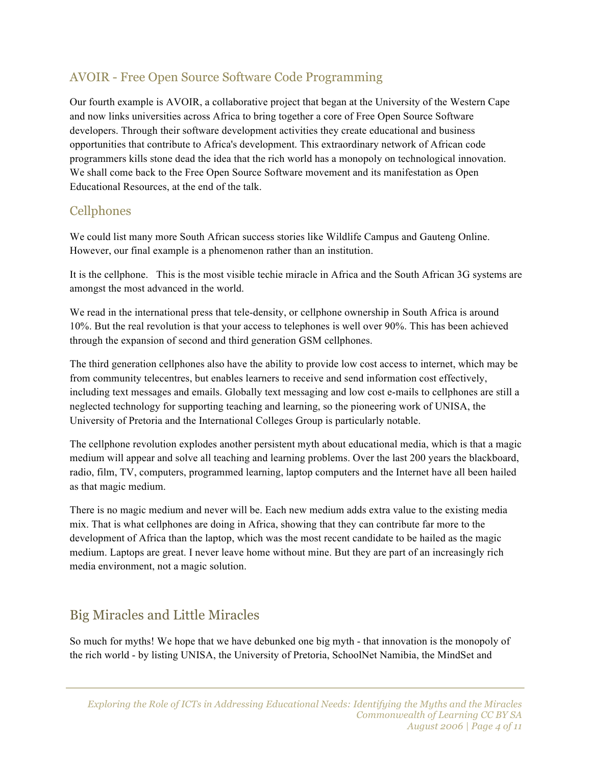#### AVOIR - Free Open Source Software Code Programming

Our fourth example is AVOIR, a collaborative project that began at the University of the Western Cape and now links universities across Africa to bring together a core of Free Open Source Software developers. Through their software development activities they create educational and business opportunities that contribute to Africa's development. This extraordinary network of African code programmers kills stone dead the idea that the rich world has a monopoly on technological innovation. We shall come back to the Free Open Source Software movement and its manifestation as Open Educational Resources, at the end of the talk.

#### Cellphones

We could list many more South African success stories like Wildlife Campus and Gauteng Online. However, our final example is a phenomenon rather than an institution.

It is the cellphone. This is the most visible techie miracle in Africa and the South African 3G systems are amongst the most advanced in the world.

We read in the international press that tele-density, or cellphone ownership in South Africa is around 10%. But the real revolution is that your access to telephones is well over 90%. This has been achieved through the expansion of second and third generation GSM cellphones.

The third generation cellphones also have the ability to provide low cost access to internet, which may be from community telecentres, but enables learners to receive and send information cost effectively, including text messages and emails. Globally text messaging and low cost e-mails to cellphones are still a neglected technology for supporting teaching and learning, so the pioneering work of UNISA, the University of Pretoria and the International Colleges Group is particularly notable.

The cellphone revolution explodes another persistent myth about educational media, which is that a magic medium will appear and solve all teaching and learning problems. Over the last 200 years the blackboard, radio, film, TV, computers, programmed learning, laptop computers and the Internet have all been hailed as that magic medium.

There is no magic medium and never will be. Each new medium adds extra value to the existing media mix. That is what cellphones are doing in Africa, showing that they can contribute far more to the development of Africa than the laptop, which was the most recent candidate to be hailed as the magic medium. Laptops are great. I never leave home without mine. But they are part of an increasingly rich media environment, not a magic solution.

### Big Miracles and Little Miracles

So much for myths! We hope that we have debunked one big myth - that innovation is the monopoly of the rich world - by listing UNISA, the University of Pretoria, SchoolNet Namibia, the MindSet and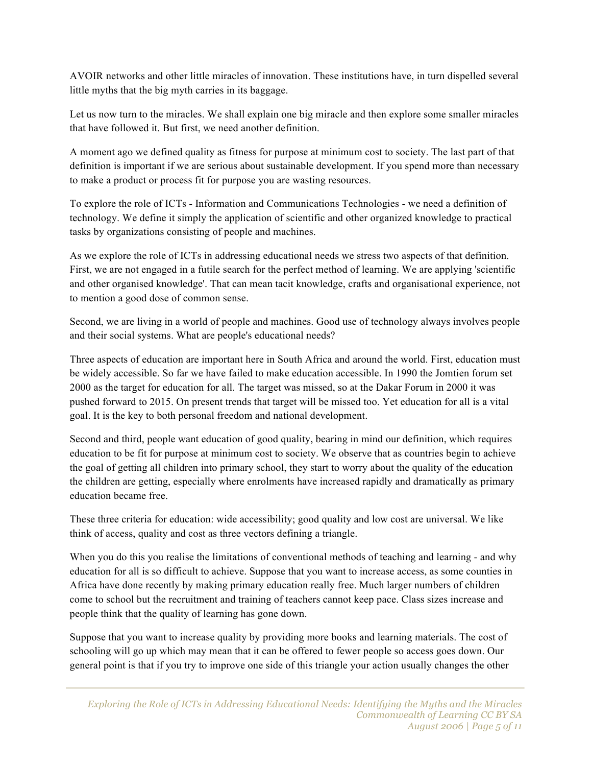AVOIR networks and other little miracles of innovation. These institutions have, in turn dispelled several little myths that the big myth carries in its baggage.

Let us now turn to the miracles. We shall explain one big miracle and then explore some smaller miracles that have followed it. But first, we need another definition.

A moment ago we defined quality as fitness for purpose at minimum cost to society. The last part of that definition is important if we are serious about sustainable development. If you spend more than necessary to make a product or process fit for purpose you are wasting resources.

To explore the role of ICTs - Information and Communications Technologies - we need a definition of technology. We define it simply the application of scientific and other organized knowledge to practical tasks by organizations consisting of people and machines.

As we explore the role of ICTs in addressing educational needs we stress two aspects of that definition. First, we are not engaged in a futile search for the perfect method of learning. We are applying 'scientific and other organised knowledge'. That can mean tacit knowledge, crafts and organisational experience, not to mention a good dose of common sense.

Second, we are living in a world of people and machines. Good use of technology always involves people and their social systems. What are people's educational needs?

Three aspects of education are important here in South Africa and around the world. First, education must be widely accessible. So far we have failed to make education accessible. In 1990 the Jomtien forum set 2000 as the target for education for all. The target was missed, so at the Dakar Forum in 2000 it was pushed forward to 2015. On present trends that target will be missed too. Yet education for all is a vital goal. It is the key to both personal freedom and national development.

Second and third, people want education of good quality, bearing in mind our definition, which requires education to be fit for purpose at minimum cost to society. We observe that as countries begin to achieve the goal of getting all children into primary school, they start to worry about the quality of the education the children are getting, especially where enrolments have increased rapidly and dramatically as primary education became free.

These three criteria for education: wide accessibility; good quality and low cost are universal. We like think of access, quality and cost as three vectors defining a triangle.

When you do this you realise the limitations of conventional methods of teaching and learning - and why education for all is so difficult to achieve. Suppose that you want to increase access, as some counties in Africa have done recently by making primary education really free. Much larger numbers of children come to school but the recruitment and training of teachers cannot keep pace. Class sizes increase and people think that the quality of learning has gone down.

Suppose that you want to increase quality by providing more books and learning materials. The cost of schooling will go up which may mean that it can be offered to fewer people so access goes down. Our general point is that if you try to improve one side of this triangle your action usually changes the other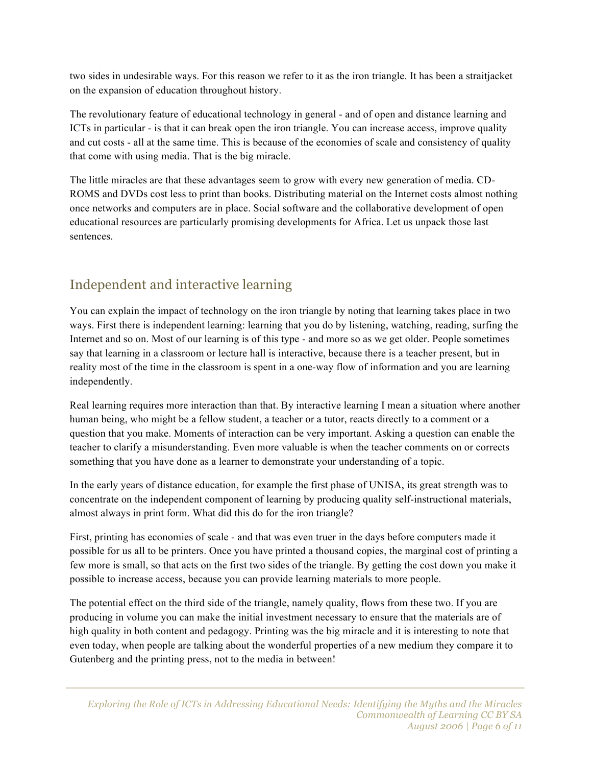two sides in undesirable ways. For this reason we refer to it as the iron triangle. It has been a straitjacket on the expansion of education throughout history.

The revolutionary feature of educational technology in general - and of open and distance learning and ICTs in particular - is that it can break open the iron triangle. You can increase access, improve quality and cut costs - all at the same time. This is because of the economies of scale and consistency of quality that come with using media. That is the big miracle.

The little miracles are that these advantages seem to grow with every new generation of media. CD-ROMS and DVDs cost less to print than books. Distributing material on the Internet costs almost nothing once networks and computers are in place. Social software and the collaborative development of open educational resources are particularly promising developments for Africa. Let us unpack those last sentences.

# Independent and interactive learning

You can explain the impact of technology on the iron triangle by noting that learning takes place in two ways. First there is independent learning: learning that you do by listening, watching, reading, surfing the Internet and so on. Most of our learning is of this type - and more so as we get older. People sometimes say that learning in a classroom or lecture hall is interactive, because there is a teacher present, but in reality most of the time in the classroom is spent in a one-way flow of information and you are learning independently.

Real learning requires more interaction than that. By interactive learning I mean a situation where another human being, who might be a fellow student, a teacher or a tutor, reacts directly to a comment or a question that you make. Moments of interaction can be very important. Asking a question can enable the teacher to clarify a misunderstanding. Even more valuable is when the teacher comments on or corrects something that you have done as a learner to demonstrate your understanding of a topic.

In the early years of distance education, for example the first phase of UNISA, its great strength was to concentrate on the independent component of learning by producing quality self-instructional materials, almost always in print form. What did this do for the iron triangle?

First, printing has economies of scale - and that was even truer in the days before computers made it possible for us all to be printers. Once you have printed a thousand copies, the marginal cost of printing a few more is small, so that acts on the first two sides of the triangle. By getting the cost down you make it possible to increase access, because you can provide learning materials to more people.

The potential effect on the third side of the triangle, namely quality, flows from these two. If you are producing in volume you can make the initial investment necessary to ensure that the materials are of high quality in both content and pedagogy. Printing was the big miracle and it is interesting to note that even today, when people are talking about the wonderful properties of a new medium they compare it to Gutenberg and the printing press, not to the media in between!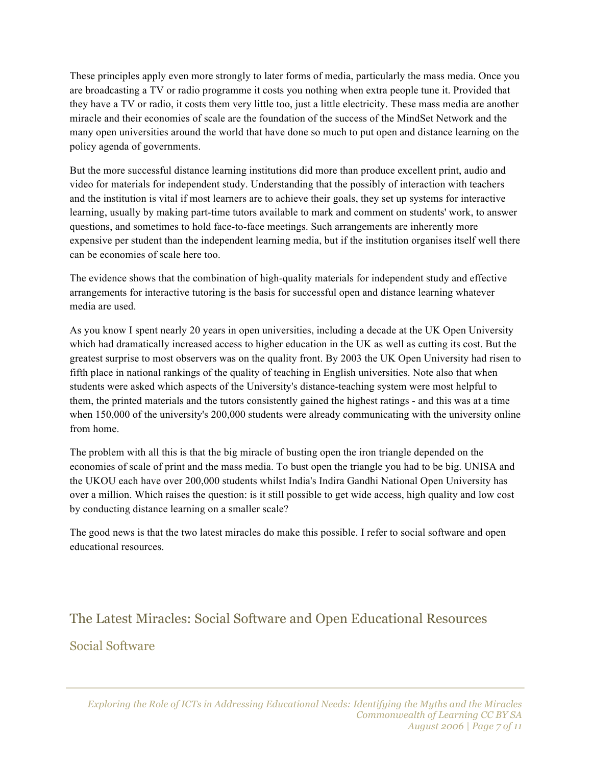These principles apply even more strongly to later forms of media, particularly the mass media. Once you are broadcasting a TV or radio programme it costs you nothing when extra people tune it. Provided that they have a TV or radio, it costs them very little too, just a little electricity. These mass media are another miracle and their economies of scale are the foundation of the success of the MindSet Network and the many open universities around the world that have done so much to put open and distance learning on the policy agenda of governments.

But the more successful distance learning institutions did more than produce excellent print, audio and video for materials for independent study. Understanding that the possibly of interaction with teachers and the institution is vital if most learners are to achieve their goals, they set up systems for interactive learning, usually by making part-time tutors available to mark and comment on students' work, to answer questions, and sometimes to hold face-to-face meetings. Such arrangements are inherently more expensive per student than the independent learning media, but if the institution organises itself well there can be economies of scale here too.

The evidence shows that the combination of high-quality materials for independent study and effective arrangements for interactive tutoring is the basis for successful open and distance learning whatever media are used.

As you know I spent nearly 20 years in open universities, including a decade at the UK Open University which had dramatically increased access to higher education in the UK as well as cutting its cost. But the greatest surprise to most observers was on the quality front. By 2003 the UK Open University had risen to fifth place in national rankings of the quality of teaching in English universities. Note also that when students were asked which aspects of the University's distance-teaching system were most helpful to them, the printed materials and the tutors consistently gained the highest ratings - and this was at a time when 150,000 of the university's 200,000 students were already communicating with the university online from home.

The problem with all this is that the big miracle of busting open the iron triangle depended on the economies of scale of print and the mass media. To bust open the triangle you had to be big. UNISA and the UKOU each have over 200,000 students whilst India's Indira Gandhi National Open University has over a million. Which raises the question: is it still possible to get wide access, high quality and low cost by conducting distance learning on a smaller scale?

The good news is that the two latest miracles do make this possible. I refer to social software and open educational resources.

# The Latest Miracles: Social Software and Open Educational Resources Social Software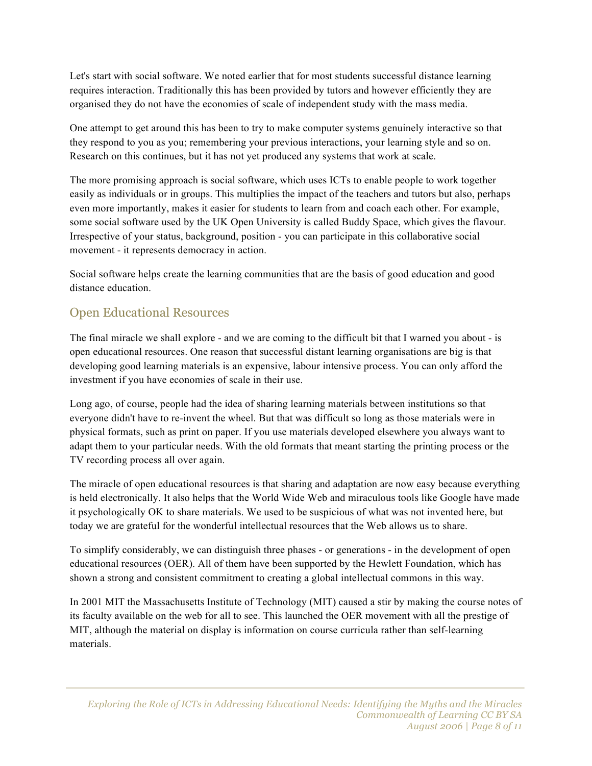Let's start with social software. We noted earlier that for most students successful distance learning requires interaction. Traditionally this has been provided by tutors and however efficiently they are organised they do not have the economies of scale of independent study with the mass media.

One attempt to get around this has been to try to make computer systems genuinely interactive so that they respond to you as you; remembering your previous interactions, your learning style and so on. Research on this continues, but it has not yet produced any systems that work at scale.

The more promising approach is social software, which uses ICTs to enable people to work together easily as individuals or in groups. This multiplies the impact of the teachers and tutors but also, perhaps even more importantly, makes it easier for students to learn from and coach each other. For example, some social software used by the UK Open University is called Buddy Space, which gives the flavour. Irrespective of your status, background, position - you can participate in this collaborative social movement - it represents democracy in action.

Social software helps create the learning communities that are the basis of good education and good distance education.

#### Open Educational Resources

The final miracle we shall explore - and we are coming to the difficult bit that I warned you about - is open educational resources. One reason that successful distant learning organisations are big is that developing good learning materials is an expensive, labour intensive process. You can only afford the investment if you have economies of scale in their use.

Long ago, of course, people had the idea of sharing learning materials between institutions so that everyone didn't have to re-invent the wheel. But that was difficult so long as those materials were in physical formats, such as print on paper. If you use materials developed elsewhere you always want to adapt them to your particular needs. With the old formats that meant starting the printing process or the TV recording process all over again.

The miracle of open educational resources is that sharing and adaptation are now easy because everything is held electronically. It also helps that the World Wide Web and miraculous tools like Google have made it psychologically OK to share materials. We used to be suspicious of what was not invented here, but today we are grateful for the wonderful intellectual resources that the Web allows us to share.

To simplify considerably, we can distinguish three phases - or generations - in the development of open educational resources (OER). All of them have been supported by the Hewlett Foundation, which has shown a strong and consistent commitment to creating a global intellectual commons in this way.

In 2001 MIT the Massachusetts Institute of Technology (MIT) caused a stir by making the course notes of its faculty available on the web for all to see. This launched the OER movement with all the prestige of MIT, although the material on display is information on course curricula rather than self-learning materials.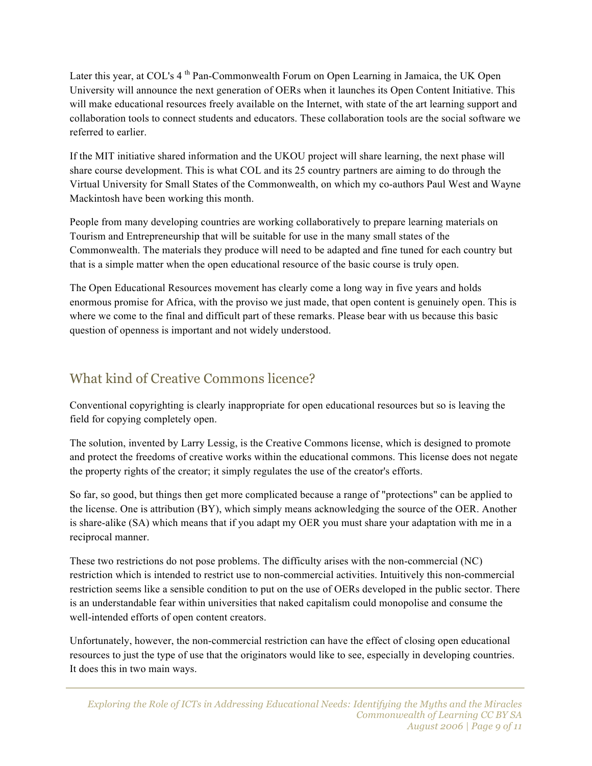Later this year, at COL's 4<sup>th</sup> Pan-Commonwealth Forum on Open Learning in Jamaica, the UK Open University will announce the next generation of OERs when it launches its Open Content Initiative. This will make educational resources freely available on the Internet, with state of the art learning support and collaboration tools to connect students and educators. These collaboration tools are the social software we referred to earlier.

If the MIT initiative shared information and the UKOU project will share learning, the next phase will share course development. This is what COL and its 25 country partners are aiming to do through the Virtual University for Small States of the Commonwealth, on which my co-authors Paul West and Wayne Mackintosh have been working this month.

People from many developing countries are working collaboratively to prepare learning materials on Tourism and Entrepreneurship that will be suitable for use in the many small states of the Commonwealth. The materials they produce will need to be adapted and fine tuned for each country but that is a simple matter when the open educational resource of the basic course is truly open.

The Open Educational Resources movement has clearly come a long way in five years and holds enormous promise for Africa, with the proviso we just made, that open content is genuinely open. This is where we come to the final and difficult part of these remarks. Please bear with us because this basic question of openness is important and not widely understood.

## What kind of Creative Commons licence?

Conventional copyrighting is clearly inappropriate for open educational resources but so is leaving the field for copying completely open.

The solution, invented by Larry Lessig, is the Creative Commons license, which is designed to promote and protect the freedoms of creative works within the educational commons. This license does not negate the property rights of the creator; it simply regulates the use of the creator's efforts.

So far, so good, but things then get more complicated because a range of "protections" can be applied to the license. One is attribution (BY), which simply means acknowledging the source of the OER. Another is share-alike (SA) which means that if you adapt my OER you must share your adaptation with me in a reciprocal manner.

These two restrictions do not pose problems. The difficulty arises with the non-commercial (NC) restriction which is intended to restrict use to non-commercial activities. Intuitively this non-commercial restriction seems like a sensible condition to put on the use of OERs developed in the public sector. There is an understandable fear within universities that naked capitalism could monopolise and consume the well-intended efforts of open content creators.

Unfortunately, however, the non-commercial restriction can have the effect of closing open educational resources to just the type of use that the originators would like to see, especially in developing countries. It does this in two main ways.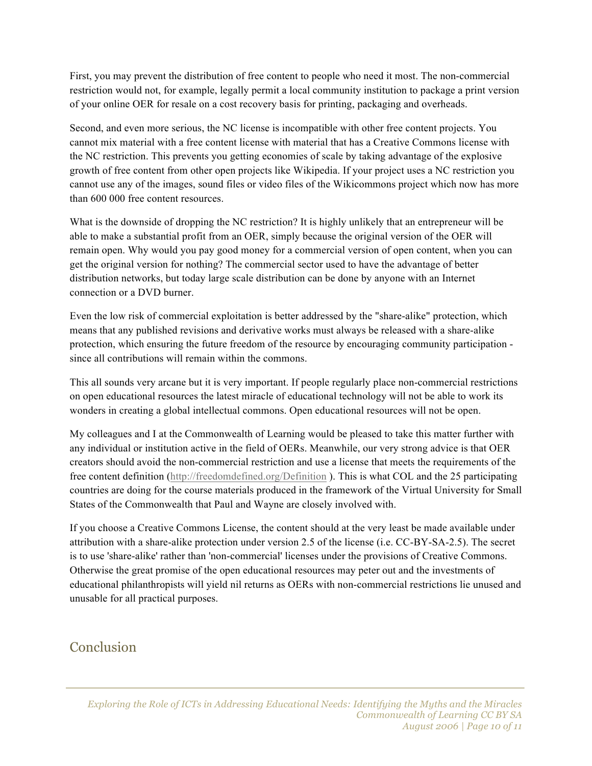First, you may prevent the distribution of free content to people who need it most. The non-commercial restriction would not, for example, legally permit a local community institution to package a print version of your online OER for resale on a cost recovery basis for printing, packaging and overheads.

Second, and even more serious, the NC license is incompatible with other free content projects. You cannot mix material with a free content license with material that has a Creative Commons license with the NC restriction. This prevents you getting economies of scale by taking advantage of the explosive growth of free content from other open projects like Wikipedia. If your project uses a NC restriction you cannot use any of the images, sound files or video files of the Wikicommons project which now has more than 600 000 free content resources.

What is the downside of dropping the NC restriction? It is highly unlikely that an entrepreneur will be able to make a substantial profit from an OER, simply because the original version of the OER will remain open. Why would you pay good money for a commercial version of open content, when you can get the original version for nothing? The commercial sector used to have the advantage of better distribution networks, but today large scale distribution can be done by anyone with an Internet connection or a DVD burner.

Even the low risk of commercial exploitation is better addressed by the "share-alike" protection, which means that any published revisions and derivative works must always be released with a share-alike protection, which ensuring the future freedom of the resource by encouraging community participation since all contributions will remain within the commons.

This all sounds very arcane but it is very important. If people regularly place non-commercial restrictions on open educational resources the latest miracle of educational technology will not be able to work its wonders in creating a global intellectual commons. Open educational resources will not be open.

My colleagues and I at the Commonwealth of Learning would be pleased to take this matter further with any individual or institution active in the field of OERs. Meanwhile, our very strong advice is that OER creators should avoid the non-commercial restriction and use a license that meets the requirements of the free content definition (http://freedomdefined.org/Definition ). This is what COL and the 25 participating countries are doing for the course materials produced in the framework of the Virtual University for Small States of the Commonwealth that Paul and Wayne are closely involved with.

If you choose a Creative Commons License, the content should at the very least be made available under attribution with a share-alike protection under version 2.5 of the license (i.e. CC-BY-SA-2.5). The secret is to use 'share-alike' rather than 'non-commercial' licenses under the provisions of Creative Commons. Otherwise the great promise of the open educational resources may peter out and the investments of educational philanthropists will yield nil returns as OERs with non-commercial restrictions lie unused and unusable for all practical purposes.

#### **Conclusion**